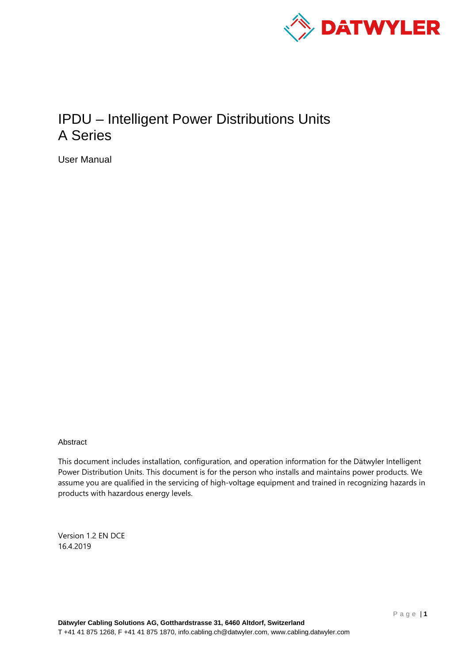

# IPDU – Intelligent Power Distributions Units A Series

User Manual

Abstract

This document includes installation, configuration, and operation information for the Dätwyler Intelligent Power Distribution Units. This document is for the person who installs and maintains power products. We assume you are qualified in the servicing of high-voltage equipment and trained in recognizing hazards in products with hazardous energy levels.

Version 1.2 EN DCE 16.4.2019

Page | **1**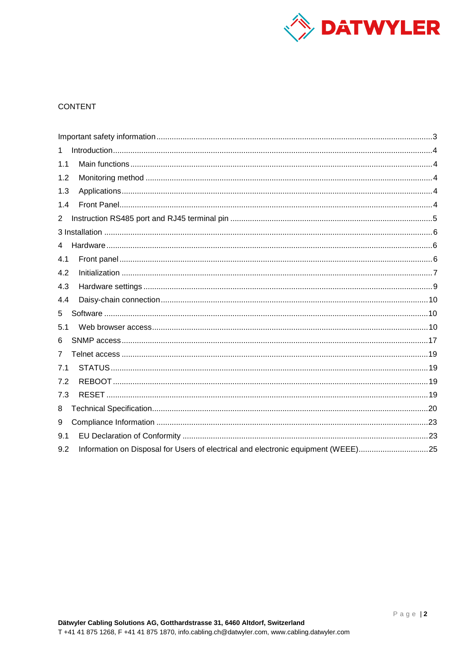

# **CONTENT**

| 1                                                                                        |  |
|------------------------------------------------------------------------------------------|--|
| 1.1                                                                                      |  |
| 1.2                                                                                      |  |
| 1.3                                                                                      |  |
| 1.4                                                                                      |  |
| $\overline{2}$                                                                           |  |
|                                                                                          |  |
| 4                                                                                        |  |
| 4.1                                                                                      |  |
| 4.2                                                                                      |  |
| 4.3                                                                                      |  |
| 4.4                                                                                      |  |
| 5                                                                                        |  |
| 5.1                                                                                      |  |
| 6                                                                                        |  |
| 7                                                                                        |  |
| 7.1                                                                                      |  |
| 7.2                                                                                      |  |
| 7.3                                                                                      |  |
| 8                                                                                        |  |
| 9                                                                                        |  |
| 9.1                                                                                      |  |
| Information on Disposal for Users of electrical and electronic equipment (WEEE)25<br>9.2 |  |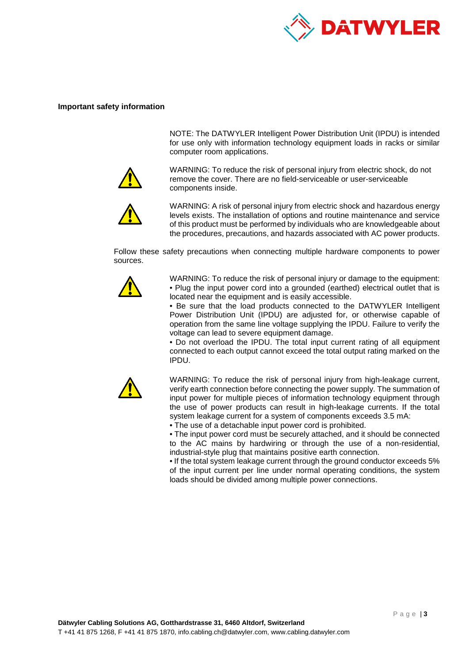

### <span id="page-2-0"></span>**Important safety information**

NOTE: The DATWYLER Intelligent Power Distribution Unit (IPDU) is intended for use only with information technology equipment loads in racks or similar computer room applications.



WARNING: To reduce the risk of personal injury from electric shock, do not remove the cover. There are no field-serviceable or user-serviceable components inside.



WARNING: A risk of personal injury from electric shock and hazardous energy levels exists. The installation of options and routine maintenance and service of this product must be performed by individuals who are knowledgeable about the procedures, precautions, and hazards associated with AC power products.

Follow these safety precautions when connecting multiple hardware components to power sources.



WARNING: To reduce the risk of personal injury or damage to the equipment: • Plug the input power cord into a grounded (earthed) electrical outlet that is located near the equipment and is easily accessible.

• Be sure that the load products connected to the DATWYLER Intelligent Power Distribution Unit (IPDU) are adjusted for, or otherwise capable of operation from the same line voltage supplying the IPDU. Failure to verify the voltage can lead to severe equipment damage.

• Do not overload the IPDU. The total input current rating of all equipment connected to each output cannot exceed the total output rating marked on the IPDU.



WARNING: To reduce the risk of personal injury from high-leakage current, verify earth connection before connecting the power supply. The summation of input power for multiple pieces of information technology equipment through the use of power products can result in high-leakage currents. If the total system leakage current for a system of components exceeds 3.5 mA:

• The use of a detachable input power cord is prohibited.

• The input power cord must be securely attached, and it should be connected to the AC mains by hardwiring or through the use of a non-residential, industrial-style plug that maintains positive earth connection.

• If the total system leakage current through the ground conductor exceeds 5% of the input current per line under normal operating conditions, the system loads should be divided among multiple power connections.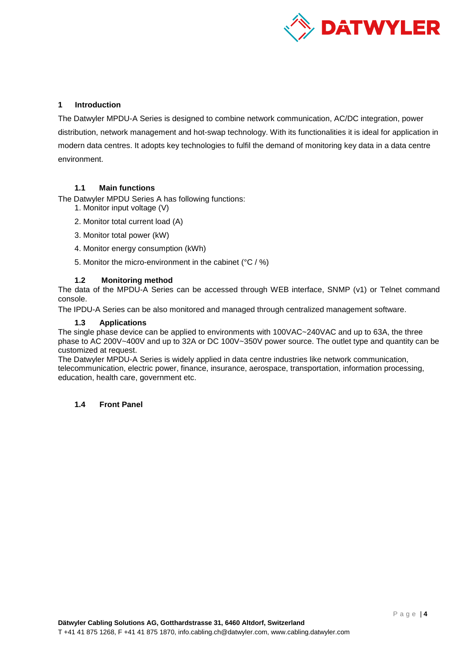

## <span id="page-3-0"></span>**1 Introduction**

The Datwyler MPDU-A Series is designed to combine network communication, AC/DC integration, power distribution, network management and hot-swap technology. With its functionalities it is ideal for application in modern data centres. It adopts key technologies to fulfil the demand of monitoring key data in a data centre environment.

### <span id="page-3-1"></span>**1.1 Main functions**

The Datwyler MPDU Series A has following functions:

- 1. Monitor input voltage (V)
- 2. Monitor total current load (A)
- 3. Monitor total power (kW)
- 4. Monitor energy consumption (kWh)
- 5. Monitor the micro-environment in the cabinet (°C / %)

### <span id="page-3-2"></span>**1.2 Monitoring method**

The data of the MPDU-A Series can be accessed through WEB interface, SNMP (v1) or Telnet command console.

The IPDU-A Series can be also monitored and managed through centralized management software.

### <span id="page-3-3"></span>**1.3 Applications**

The single phase device can be applied to environments with 100VAC~240VAC and up to 63A, the three phase to AC 200V~400V and up to 32A or DC 100V~350V power source. The outlet type and quantity can be customized at request.

The Datwyler MPDU-A Series is widely applied in data centre industries like network communication, telecommunication, electric power, finance, insurance, aerospace, transportation, information processing, education, health care, government etc.

### <span id="page-3-4"></span>**1.4 Front Panel**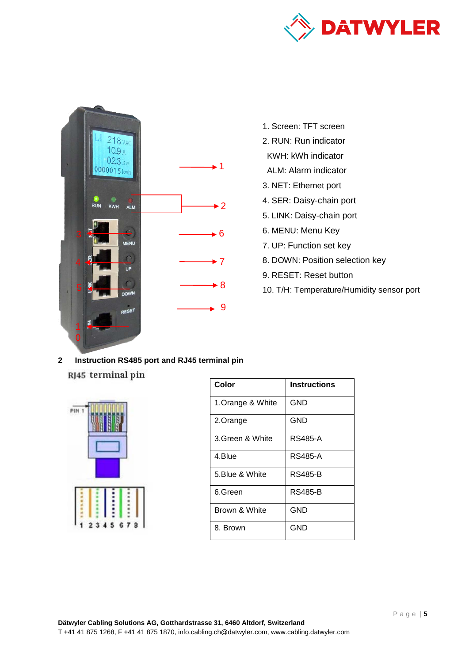



- 1. Screen: TFT screen
- 2. RUN: Run indicator
- KWH: kWh indicator
- ALM: Alarm indicator
- 3. NET: Ethernet port
- 4. SER: Daisy-chain port
- 5. LINK: Daisy-chain port
- 6. MENU: Menu Key
- 7. UP: Function set key
- 8. DOWN: Position selection key
- 9. RESET: Reset button
- 10. T/H: Temperature/Humidity sensor port

<span id="page-4-0"></span>**2 Instruction RS485 port and RJ45 terminal pin**  RJ45 terminal pin



| Color             | <b>Instructions</b> |
|-------------------|---------------------|
| 1. Orange & White | <b>GND</b>          |
| 2.Orange          | GND                 |
| 3.Green & White   | <b>RS485-A</b>      |
| 4.Blue            | RS485-A             |
| 5.Blue & White    | RS485-B             |
| 6.Green           | RS485-B             |
| Brown & White     | GND                 |
| 8. Brown          | GND                 |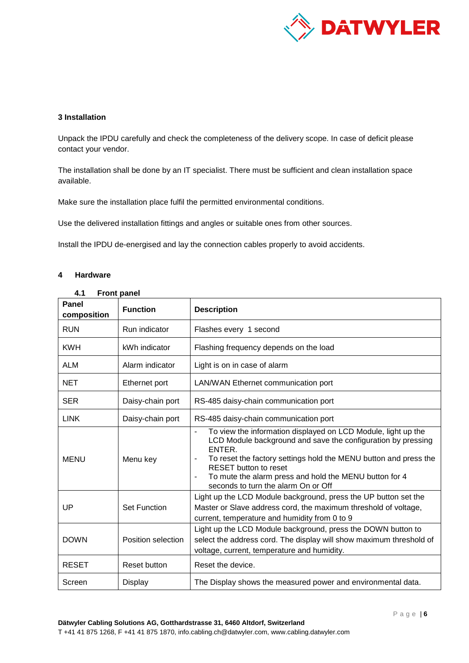

## <span id="page-5-0"></span>**3 Installation**

Unpack the IPDU carefully and check the completeness of the delivery scope. In case of deficit please contact your vendor.

The installation shall be done by an IT specialist. There must be sufficient and clean installation space available.

Make sure the installation place fulfil the permitted environmental conditions.

Use the delivered installation fittings and angles or suitable ones from other sources.

Install the IPDU de-energised and lay the connection cables properly to avoid accidents.

### <span id="page-5-1"></span>**4 Hardware**

<span id="page-5-2"></span>

| <b>Panel</b><br>composition | <b>Function</b>     | <b>Description</b>                                                                                                                                                                                                                                                                                                                                                  |  |  |  |
|-----------------------------|---------------------|---------------------------------------------------------------------------------------------------------------------------------------------------------------------------------------------------------------------------------------------------------------------------------------------------------------------------------------------------------------------|--|--|--|
| <b>RUN</b>                  | Run indicator       | Flashes every 1 second                                                                                                                                                                                                                                                                                                                                              |  |  |  |
| <b>KWH</b>                  | kWh indicator       | Flashing frequency depends on the load                                                                                                                                                                                                                                                                                                                              |  |  |  |
| <b>ALM</b>                  | Alarm indicator     | Light is on in case of alarm                                                                                                                                                                                                                                                                                                                                        |  |  |  |
| <b>NET</b>                  | Ethernet port       | LAN/WAN Ethernet communication port                                                                                                                                                                                                                                                                                                                                 |  |  |  |
| <b>SER</b>                  | Daisy-chain port    | RS-485 daisy-chain communication port                                                                                                                                                                                                                                                                                                                               |  |  |  |
| <b>LINK</b>                 | Daisy-chain port    | RS-485 daisy-chain communication port                                                                                                                                                                                                                                                                                                                               |  |  |  |
| <b>MENU</b>                 | Menu key            | To view the information displayed on LCD Module, light up the<br>LCD Module background and save the configuration by pressing<br>ENTER.<br>To reset the factory settings hold the MENU button and press the<br>٠<br><b>RESET</b> button to reset<br>To mute the alarm press and hold the MENU button for 4<br>$\overline{a}$<br>seconds to turn the alarm On or Off |  |  |  |
| UP                          | <b>Set Function</b> | Light up the LCD Module background, press the UP button set the<br>Master or Slave address cord, the maximum threshold of voltage,<br>current, temperature and humidity from 0 to 9                                                                                                                                                                                 |  |  |  |
| <b>DOWN</b>                 | Position selection  | Light up the LCD Module background, press the DOWN button to<br>select the address cord. The display will show maximum threshold of<br>voltage, current, temperature and humidity.                                                                                                                                                                                  |  |  |  |
| <b>RESET</b>                | <b>Reset button</b> | Reset the device.                                                                                                                                                                                                                                                                                                                                                   |  |  |  |
| Screen                      | Display             | The Display shows the measured power and environmental data.                                                                                                                                                                                                                                                                                                        |  |  |  |

# **4.1 Front panel**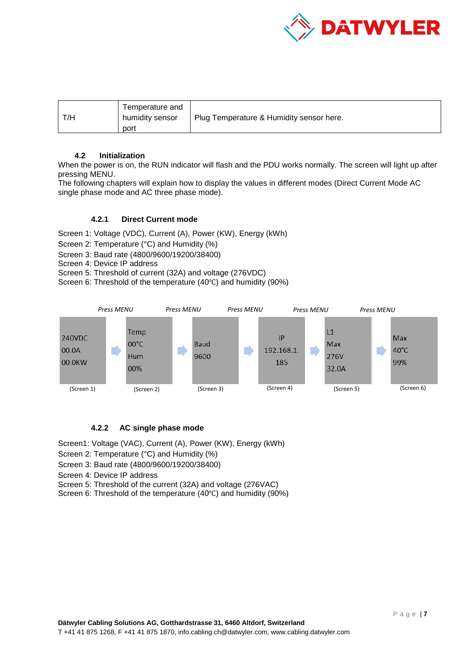

| Temperature and<br>T/H<br>humidity sensor<br>port | Plug Temperature & Humidity sensor here. |  |
|---------------------------------------------------|------------------------------------------|--|
|---------------------------------------------------|------------------------------------------|--|

### <span id="page-6-0"></span>**4.2 Initialization**

When the power is on, the RUN indicator will flash and the PDU works normally. The screen will light up after pressing MENU.

The following chapters will explain how to display the values in different modes (Direct Current Mode AC single phase mode and AC three phase mode).

### **4.2.1 Direct Current mode**

Screen 1: Voltage (VDC), Current (A), Power (KW), Energy (kWh)

Screen 2: Temperature (°C) and Humidity (%)

Screen 3: Baud rate (4800/9600/19200/38400)

Screen 4: Device IP address

Screen 5: Threshold of current (32A) and voltage (276VDC)

Screen 6: Threshold of the temperature (40℃) and humidity (90%)



# **4.2.2 AC single phase mode**

Screen1: Voltage (VAC), Current (A), Power (KW), Energy (kWh)

Screen 2: Temperature (°C) and Humidity (%)

Screen 3: Baud rate (4800/9600/19200/38400)

Screen 4: Device IP address

Screen 5: Threshold of the current (32A) and voltage (276VAC)

Screen 6: Threshold of the temperature (40℃) and humidity (90%)

Page | **7**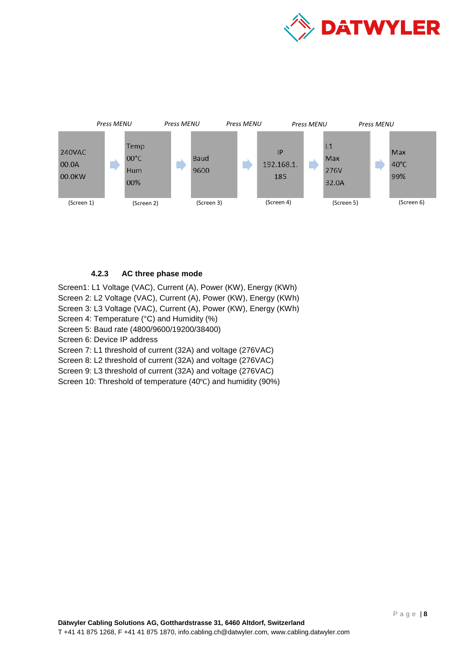



# **4.2.3 AC three phase mode**

Screen1: L1 Voltage (VAC), Current (A), Power (KW), Energy (KWh) Screen 2: L2 Voltage (VAC), Current (A), Power (KW), Energy (KWh) Screen 3: L3 Voltage (VAC), Current (A), Power (KW), Energy (KWh) Screen 4: Temperature (°C) and Humidity (%) Screen 5: Baud rate (4800/9600/19200/38400) Screen 6: Device IP address Screen 7: L1 threshold of current (32A) and voltage (276VAC) Screen 8: L2 threshold of current (32A) and voltage (276VAC)

Screen 9: L3 threshold of current (32A) and voltage (276VAC)

Screen 10: Threshold of temperature (40℃) and humidity (90%)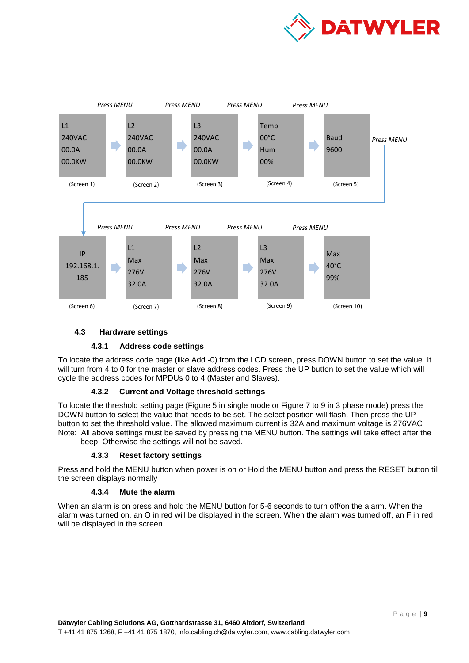



## **4.3 Hardware settings**

### <span id="page-8-0"></span>**4.3.1 Address code settings**

To locate the address code page (like Add -0) from the LCD screen, press DOWN button to set the value. It will turn from 4 to 0 for the master or slave address codes. Press the UP button to set the value which will cycle the address codes for MPDUs 0 to 4 (Master and Slaves).

# **4.3.2 Current and Voltage threshold settings**

To locate the threshold setting page (Figure 5 in single mode or Figure 7 to 9 in 3 phase mode) press the DOWN button to select the value that needs to be set. The select position will flash. Then press the UP button to set the threshold value. The allowed maximum current is 32A and maximum voltage is 276VAC Note: All above settings must be saved by pressing the MENU button. The settings will take effect after the beep. Otherwise the settings will not be saved.

# **4.3.3 Reset factory settings**

Press and hold the MENU button when power is on or Hold the MENU button and press the RESET button till the screen displays normally

### **4.3.4 Mute the alarm**

When an alarm is on press and hold the MENU button for 5-6 seconds to turn off/on the alarm. When the alarm was turned on, an O in red will be displayed in the screen. When the alarm was turned off, an F in red will be displayed in the screen.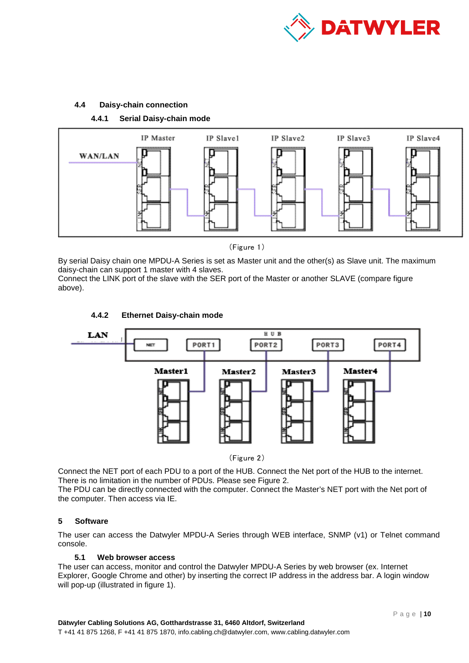

# **4.4 Daisy-chain connection**



<span id="page-9-0"></span>**4.4.1 Serial Daisy-chain mode**

By serial Daisy chain one MPDU-A Series is set as Master unit and the other(s) as Slave unit. The maximum daisy-chain can support 1 master with 4 slaves.

Connect the LINK port of the slave with the SER port of the Master or another SLAVE (compare figure above).



**4.4.2 Ethernet Daisy-chain mode**

(Figure 2)

Connect the NET port of each PDU to a port of the HUB. Connect the Net port of the HUB to the internet. There is no limitation in the number of PDUs. Please see Figure 2.

The PDU can be directly connected with the computer. Connect the Master's NET port with the Net port of the computer. Then access via IE.

# <span id="page-9-1"></span>**5 Software**

The user can access the Datwyler MPDU-A Series through WEB interface, SNMP (v1) or Telnet command console.

# **5.1 Web browser access**

<span id="page-9-2"></span>The user can access, monitor and control the Datwyler MPDU-A Series by web browser (ex. Internet Explorer, Google Chrome and other) by inserting the correct IP address in the address bar. A login window will pop-up (illustrated in figure 1).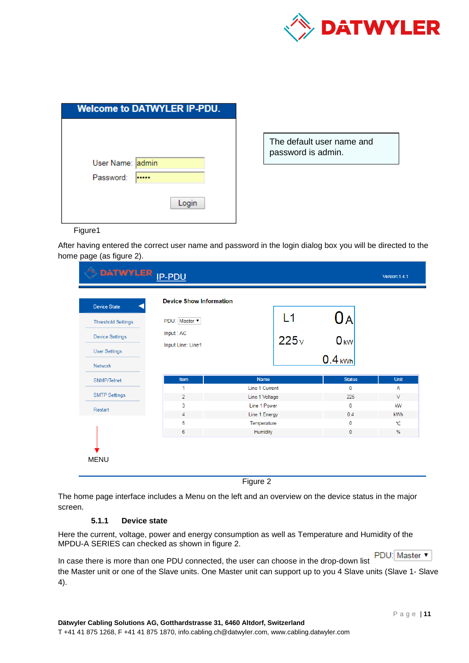

| <b>Welcome to DATWYLER IP-PDU.</b> |
|------------------------------------|
|                                    |
|                                    |
|                                    |
|                                    |
|                                    |
|                                    |
| Login                              |
|                                    |

The default user name and password is admin.

Figure1

After having entered the correct user name and password in the login dialog box you will be directed to the home page (as figure 2).

| <b>Device State</b><br><b>Threshold Settings</b> | PDU: Master              |                | L1   | UА              |        |
|--------------------------------------------------|--------------------------|----------------|------|-----------------|--------|
| <b>Device Settings</b>                           | Input: AC                |                | 225v | 0 <sub>kw</sub> |        |
| <b>User Settings</b>                             | <b>Input Line: Line1</b> |                |      |                 |        |
| Network                                          |                          |                |      | $0.4$ kWh       |        |
| SNMP/Telnet                                      | Item                     | <b>Name</b>    |      | <b>Status</b>   | Unit   |
|                                                  | 1                        | Line 1 Current |      | $\mathbf 0$     |        |
| <b>SMTP Settings</b>                             | $\overline{2}$           | Line 1 Voltage |      | 225             | $\vee$ |
| Restart                                          | 3                        | Line 1 Power   |      | $\mathbf{0}$    | kW     |
|                                                  | 4                        | Line 1 Energy  |      | 0.4             | kWh    |
|                                                  | 5                        | Temperature    |      | 0               | ℃      |
|                                                  | 6                        | Humidity       |      | $\mathbf{0}$    | $\%$   |

The home page interface includes a Menu on the left and an overview on the device status in the major screen.

# **5.1.1 Device state**

Here the current, voltage, power and energy consumption as well as Temperature and Humidity of the MPDU-A SERIES can checked as shown in figure 2.

PDU: Master In case there is more than one PDU connected, the user can choose in the drop-down list the Master unit or one of the Slave units. One Master unit can support up to you 4 Slave units (Slave 1- Slave 4).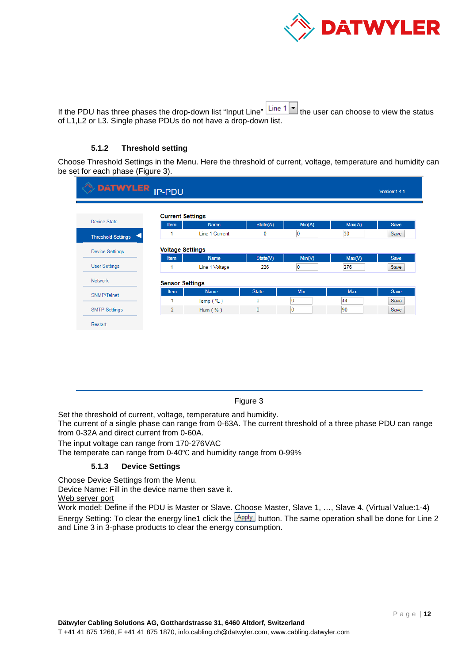

If the PDU has three phases the drop-down list "Input Line"  $\boxed{\text{Line 1} \blacktriangleright}$  the user can choose to view the status of L1,L2 or L3. Single phase PDUs do not have a drop-down list.

## **5.1.2 Threshold setting**

Choose Threshold Settings in the Menu. Here the threshold of current, voltage, temperature and humidity can be set for each phase (Figure 3).

| <b>DATWYLER</b> <sub>IP-PDU</sub> |                         |                |              |        |            |             |
|-----------------------------------|-------------------------|----------------|--------------|--------|------------|-------------|
|                                   | <b>Current Settings</b> |                |              |        |            |             |
| Device State                      | Item                    | <b>Name</b>    | State(A)     | Min(A) | Max(A)     | Save        |
| <b>Threshold Settings</b>         |                         | Line 1 Current | 0            | 0      | 30         | Save        |
| <b>Device Settings</b>            | <b>Voltage Settings</b> |                |              |        |            |             |
|                                   | Item                    | <b>Name</b>    | State(V)     | Min(V) | Max(V)     | <b>Save</b> |
| <b>User Settings</b>              |                         | Line 1 Voltage | 226          | O      | 276        | Save        |
| <b>Network</b>                    | <b>Sensor Settings</b>  |                |              |        |            |             |
| SNMP/Telnet                       | Item                    | <b>Name</b>    | <b>State</b> | Min    | <b>Max</b> | <b>Save</b> |
|                                   |                         | Temp $(°C)$    | 0            | 0      | 44         | Save        |
| <b>SMTP Settings</b>              | $\overline{2}$          | Hum $(%$       | $\mathbf 0$  | 10     | 90         | Save        |

Figure 3

Set the threshold of current, voltage, temperature and humidity.

The current of a single phase can range from 0-63A. The current threshold of a three phase PDU can range from 0-32A and direct current from 0-60A.

The input voltage can range from 170-276VAC

The temperate can range from 0-40℃ and humidity range from 0-99%

### **5.1.3 Device Settings**

Choose Device Settings from the Menu.

Device Name: Fill in the device name then save it.

Web server port

Work model: Define if the PDU is Master or Slave. Choose Master, Slave 1, ..., Slave 4. (Virtual Value:1-4) Energy Setting: To clear the energy line1 click the  $\frac{[Apply]}{[Apply]}$  button. The same operation shall be done for Line 2 and Line 3 in 3-phase products to clear the energy consumption.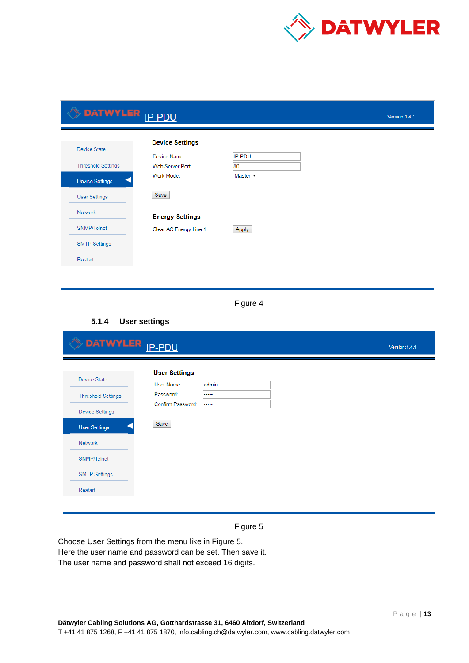

| DATWYLER <sub>IP-PDU</sub> |                         |                 | Version: 1.4.1 |
|----------------------------|-------------------------|-----------------|----------------|
| Device State               | <b>Device Settings</b>  |                 |                |
|                            | Device Name:            | IP-PDU          |                |
| <b>Threshold Settings</b>  | Web Server Port:        | 80              |                |
| <b>Device Settings</b>     | Work Mode:              | Master <b>v</b> |                |
| <b>User Settings</b>       | Save                    |                 |                |
| Network                    | <b>Energy Settings</b>  |                 |                |
| SNMP/Telnet                | Clear AC Energy Line 1: | Apply           |                |
| <b>SMTP Settings</b>       |                         |                 |                |
| Restart                    |                         |                 |                |
|                            |                         |                 |                |

Figure 4

# **5.1.4 User settings**

| DATWYLER <sub>IP-PDU</sub>                       |                                                 |           | Version: 1.4.1 |
|--------------------------------------------------|-------------------------------------------------|-----------|----------------|
| <b>Device State</b><br><b>Threshold Settings</b> | <b>User Settings</b><br>User Name:<br>Password: | admin<br> |                |
| <b>Device Settings</b><br><b>User Settings</b>   | Confirm Password:<br>Save                       |           |                |
| Network                                          |                                                 |           |                |
| SNMP/Telnet<br><b>SMTP Settings</b>              |                                                 |           |                |
| Restart                                          |                                                 |           |                |



Choose User Settings from the menu like in Figure 5. Here the user name and password can be set. Then save it. The user name and password shall not exceed 16 digits.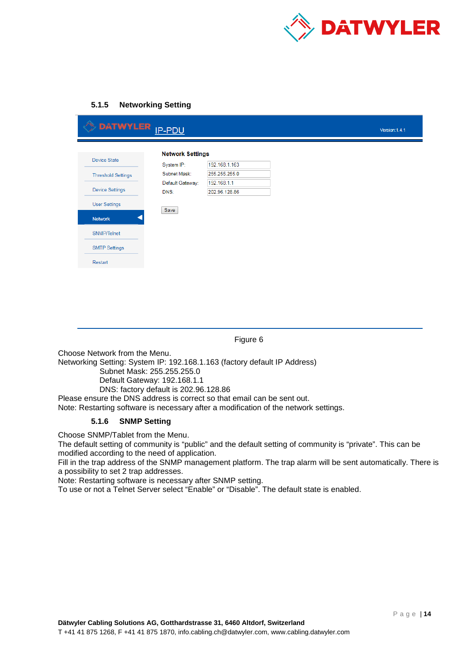

# **5.1.5 Networking Setting**

| DATWYLER <sub>IP-PDU</sub> |                            |                              | Version: 1.4.1 |
|----------------------------|----------------------------|------------------------------|----------------|
| Device State               | <b>Network Settings</b>    | 192.168.1.163                |                |
| <b>Threshold Settings</b>  | System IP:<br>Subnet Mask: | 255.255.255.0                |                |
| <b>Device Settings</b>     | Default Gateway:<br>DNS:   | 192.168.1.1<br>202.96.128.86 |                |
| <b>User Settings</b>       | Save                       |                              |                |
| <b>Network</b>             |                            |                              |                |
| SNMP/Telnet                |                            |                              |                |
| <b>SMTP Settings</b>       |                            |                              |                |
| Restart                    |                            |                              |                |
|                            |                            |                              |                |

Figure 6

Choose Network from the Menu.

Networking Setting: System IP: 192.168.1.163 (factory default IP Address)

Subnet Mask: 255.255.255.0

Default Gateway: 192.168.1.1

DNS: factory default is 202.96.128.86

Please ensure the DNS address is correct so that email can be sent out.

Note: Restarting software is necessary after a modification of the network settings.

## **5.1.6 SNMP Setting**

Choose SNMP/Tablet from the Menu.

The default setting of community is "public" and the default setting of community is "private". This can be modified according to the need of application.

Fill in the trap address of the SNMP management platform. The trap alarm will be sent automatically. There is a possibility to set 2 trap addresses.

Note: Restarting software is necessary after SNMP setting.

To use or not a Telnet Server select "Enable" or "Disable". The default state is enabled.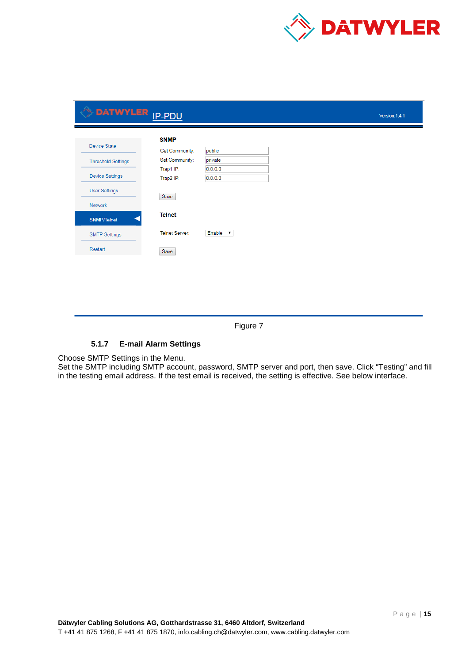

| DATWYLER <sub>IP-PDU</sub> |                               |                    | Version: 1.4.1 |
|----------------------------|-------------------------------|--------------------|----------------|
| <b>Device State</b>        | <b>SNMP</b><br>Get Community: | public             |                |
| <b>Threshold Settings</b>  | Set Community:                | private            |                |
| <b>Device Settings</b>     | Trap1 IP:<br>Trap2 IP:        | 0.0.0.0<br>0.0.0.0 |                |
| <b>User Settings</b>       | Save                          |                    |                |
| Network                    |                               |                    |                |
| <b>SNMP/Telnet</b>         | <b>Telnet</b>                 |                    |                |
| <b>SMTP Settings</b>       | Telnet Server:                | Enable v           |                |
| Restart                    | Save                          |                    |                |

Figure 7

# **5.1.7 E-mail Alarm Settings**

Choose SMTP Settings in the Menu.

Set the SMTP including SMTP account, password, SMTP server and port, then save. Click "Testing" and fill in the testing email address. If the test email is received, the setting is effective. See below interface.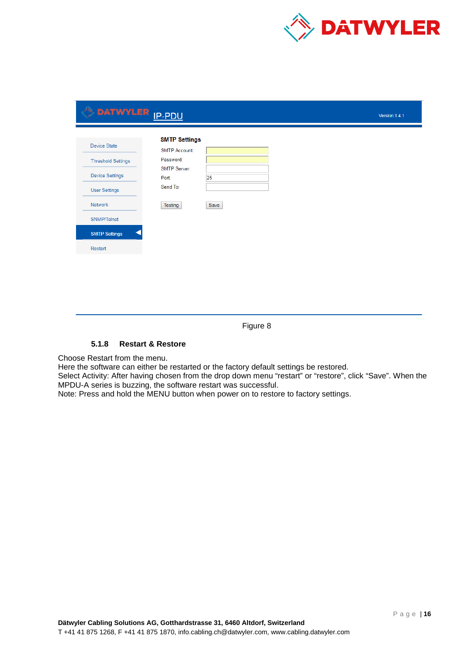

| <b>SMTP Settings</b><br>Device State<br><b>SMTP Account:</b><br>Password:<br><b>Threshold Settings</b><br>SMTP Server:<br><b>Device Settings</b><br>25<br>Port:<br>Send To:<br><b>User Settings</b><br>Network<br>Testing<br>Save<br>SNMP/Telnet<br><b>SMTP Settings</b><br>Restart | DATWYLER <sub>IP-PDU</sub> |  | Version: 1.4.1 |
|-------------------------------------------------------------------------------------------------------------------------------------------------------------------------------------------------------------------------------------------------------------------------------------|----------------------------|--|----------------|
|                                                                                                                                                                                                                                                                                     |                            |  |                |
|                                                                                                                                                                                                                                                                                     |                            |  |                |
|                                                                                                                                                                                                                                                                                     |                            |  |                |
|                                                                                                                                                                                                                                                                                     |                            |  |                |
|                                                                                                                                                                                                                                                                                     |                            |  |                |

Figure 8

# **5.1.8 Restart & Restore**

Choose Restart from the menu.

Here the software can either be restarted or the factory default settings be restored.

Select Activity: After having chosen from the drop down menu "restart" or "restore", click "Save". When the MPDU-A series is buzzing, the software restart was successful.

Note: Press and hold the MENU button when power on to restore to factory settings.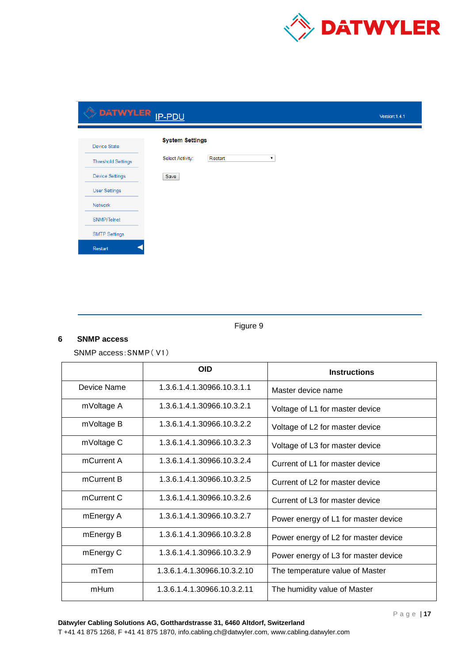

# DATWYLER <u>IP-PDU</u> Version: 1.4.1 **System Settings** Device State  $\blacktriangledown$ Select Activity: Restart **Threshold Settings** Device Settings Save **User Settings** Network SNMP/Telnet **SMTP Settings** Restart

Figure 9

# **6 SNMP access**

<span id="page-16-0"></span>SNMP access:SNMP( V1)

|             | <b>OID</b>                  | <b>Instructions</b>                  |
|-------------|-----------------------------|--------------------------------------|
| Device Name | 1.3.6.1.4.1.30966.10.3.1.1  | Master device name                   |
| mVoltage A  | 1.3.6.1.4.1.30966.10.3.2.1  | Voltage of L1 for master device      |
| mVoltage B  | 1.3.6.1.4.1.30966.10.3.2.2  | Voltage of L2 for master device      |
| mVoltage C  | 1.3.6.1.4.1.30966.10.3.2.3  | Voltage of L3 for master device      |
| mCurrent A  | 1.3.6.1.4.1.30966.10.3.2.4  | Current of L1 for master device      |
| mCurrent B  | 1.3.6.1.4.1.30966.10.3.2.5  | Current of L2 for master device      |
| mCurrent C  | 1.3.6.1.4.1.30966.10.3.2.6  | Current of L3 for master device      |
| mEnergy A   | 1.3.6.1.4.1.30966.10.3.2.7  | Power energy of L1 for master device |
| mEnergy B   | 1.3.6.1.4.1.30966.10.3.2.8  | Power energy of L2 for master device |
| mEnergy C   | 1.3.6.1.4.1.30966.10.3.2.9  | Power energy of L3 for master device |
| mTem        | 1.3.6.1.4.1.30966.10.3.2.10 | The temperature value of Master      |
| mHum        | 1.3.6.1.4.1.30966.10.3.2.11 | The humidity value of Master         |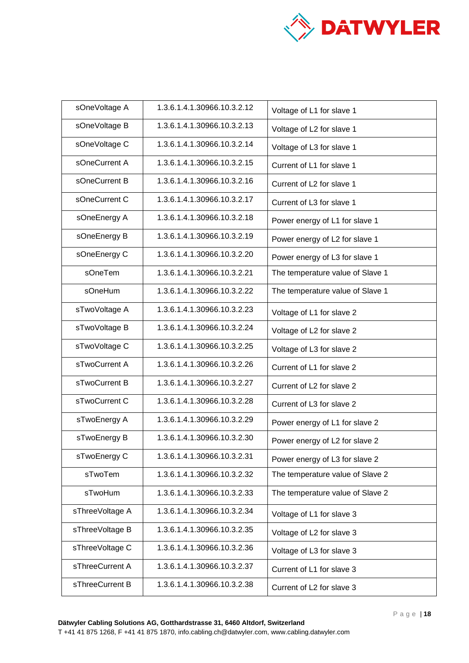

| sOneVoltage A   | 1.3.6.1.4.1.30966.10.3.2.12 | Voltage of L1 for slave 1        |
|-----------------|-----------------------------|----------------------------------|
| sOneVoltage B   | 1.3.6.1.4.1.30966.10.3.2.13 | Voltage of L2 for slave 1        |
| sOneVoltage C   | 1.3.6.1.4.1.30966.10.3.2.14 | Voltage of L3 for slave 1        |
| sOneCurrent A   | 1.3.6.1.4.1.30966.10.3.2.15 | Current of L1 for slave 1        |
| sOneCurrent B   | 1.3.6.1.4.1.30966.10.3.2.16 | Current of L2 for slave 1        |
| sOneCurrent C   | 1.3.6.1.4.1.30966.10.3.2.17 | Current of L3 for slave 1        |
| sOneEnergy A    | 1.3.6.1.4.1.30966.10.3.2.18 | Power energy of L1 for slave 1   |
| sOneEnergy B    | 1.3.6.1.4.1.30966.10.3.2.19 | Power energy of L2 for slave 1   |
| sOneEnergy C    | 1.3.6.1.4.1.30966.10.3.2.20 | Power energy of L3 for slave 1   |
| sOneTem         | 1.3.6.1.4.1.30966.10.3.2.21 | The temperature value of Slave 1 |
| sOneHum         | 1.3.6.1.4.1.30966.10.3.2.22 | The temperature value of Slave 1 |
| sTwoVoltage A   | 1.3.6.1.4.1.30966.10.3.2.23 | Voltage of L1 for slave 2        |
| sTwoVoltage B   | 1.3.6.1.4.1.30966.10.3.2.24 | Voltage of L2 for slave 2        |
| sTwoVoltage C   | 1.3.6.1.4.1.30966.10.3.2.25 | Voltage of L3 for slave 2        |
| sTwoCurrent A   | 1.3.6.1.4.1.30966.10.3.2.26 | Current of L1 for slave 2        |
| sTwoCurrent B   | 1.3.6.1.4.1.30966.10.3.2.27 | Current of L2 for slave 2        |
| sTwoCurrent C   | 1.3.6.1.4.1.30966.10.3.2.28 | Current of L3 for slave 2        |
| sTwoEnergy A    | 1.3.6.1.4.1.30966.10.3.2.29 | Power energy of L1 for slave 2   |
| sTwoEnergy B    | 1.3.6.1.4.1.30966.10.3.2.30 | Power energy of L2 for slave 2   |
| sTwoEnergy C    | 1.3.6.1.4.1.30966.10.3.2.31 | Power energy of L3 for slave 2   |
| sTwoTem         | 1.3.6.1.4.1.30966.10.3.2.32 | The temperature value of Slave 2 |
| sTwoHum         | 1.3.6.1.4.1.30966.10.3.2.33 | The temperature value of Slave 2 |
| sThreeVoltage A | 1.3.6.1.4.1.30966.10.3.2.34 | Voltage of L1 for slave 3        |
| sThreeVoltage B | 1.3.6.1.4.1.30966.10.3.2.35 | Voltage of L2 for slave 3        |
| sThreeVoltage C | 1.3.6.1.4.1.30966.10.3.2.36 | Voltage of L3 for slave 3        |
| sThreeCurrent A | 1.3.6.1.4.1.30966.10.3.2.37 | Current of L1 for slave 3        |
| sThreeCurrent B | 1.3.6.1.4.1.30966.10.3.2.38 | Current of L2 for slave 3        |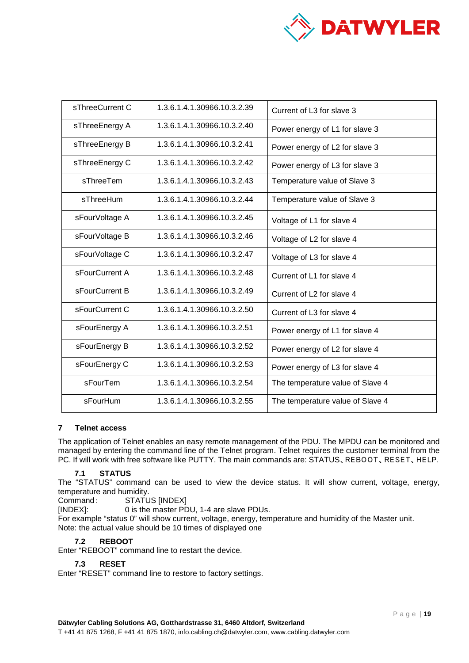

| sThreeCurrent C                              | 1.3.6.1.4.1.30966.10.3.2.39 | Current of L3 for slave 3        |
|----------------------------------------------|-----------------------------|----------------------------------|
| sThreeEnergy A                               | 1.3.6.1.4.1.30966.10.3.2.40 | Power energy of L1 for slave 3   |
| sThreeEnergy B                               | 1.3.6.1.4.1.30966.10.3.2.41 | Power energy of L2 for slave 3   |
| sThreeEnergy C                               | 1.3.6.1.4.1.30966.10.3.2.42 | Power energy of L3 for slave 3   |
| sThreeTem                                    | 1.3.6.1.4.1.30966.10.3.2.43 | Temperature value of Slave 3     |
| sThreeHum                                    | 1.3.6.1.4.1.30966.10.3.2.44 | Temperature value of Slave 3     |
| sFourVoltage A                               | 1.3.6.1.4.1.30966.10.3.2.45 | Voltage of L1 for slave 4        |
| sFourVoltage B                               | 1.3.6.1.4.1.30966.10.3.2.46 | Voltage of L2 for slave 4        |
| sFourVoltage C                               | 1.3.6.1.4.1.30966.10.3.2.47 | Voltage of L3 for slave 4        |
| sFourCurrent A                               | 1.3.6.1.4.1.30966.10.3.2.48 | Current of L1 for slave 4        |
| sFourCurrent B                               | 1.3.6.1.4.1.30966.10.3.2.49 | Current of L2 for slave 4        |
| sFourCurrent C                               | 1.3.6.1.4.1.30966.10.3.2.50 | Current of L3 for slave 4        |
| 1.3.6.1.4.1.30966.10.3.2.51<br>sFourEnergy A |                             | Power energy of L1 for slave 4   |
| sFourEnergy B                                | 1.3.6.1.4.1.30966.10.3.2.52 | Power energy of L2 for slave 4   |
| sFourEnergy C                                | 1.3.6.1.4.1.30966.10.3.2.53 | Power energy of L3 for slave 4   |
| sFourTem                                     | 1.3.6.1.4.1.30966.10.3.2.54 | The temperature value of Slave 4 |
| sFourHum                                     | 1.3.6.1.4.1.30966.10.3.2.55 | The temperature value of Slave 4 |

# <span id="page-18-0"></span>**7 Telnet access**

The application of Telnet enables an easy remote management of the PDU. The MPDU can be monitored and managed by entering the command line of the Telnet program. Telnet requires the customer terminal from the PC. If will work with free software like PUTTY. The main commands are: STATUS、REBOOT、RESET、HELP.

### <span id="page-18-1"></span>**7.1 STATUS**

The "STATUS" command can be used to view the device status. It will show current, voltage, energy, temperature and humidity.

Command: STATUS [INDEX]

[INDEX]: 0 is the master PDU, 1-4 are slave PDUs.

For example "status 0" will show current, voltage, energy, temperature and humidity of the Master unit. Note: the actual value should be 10 times of displayed one

# <span id="page-18-2"></span>**7.2 REBOOT**

Enter "REBOOT" command line to restart the device.

### <span id="page-18-3"></span>**7.3 RESET**

Enter "RESET" command line to restore to factory settings.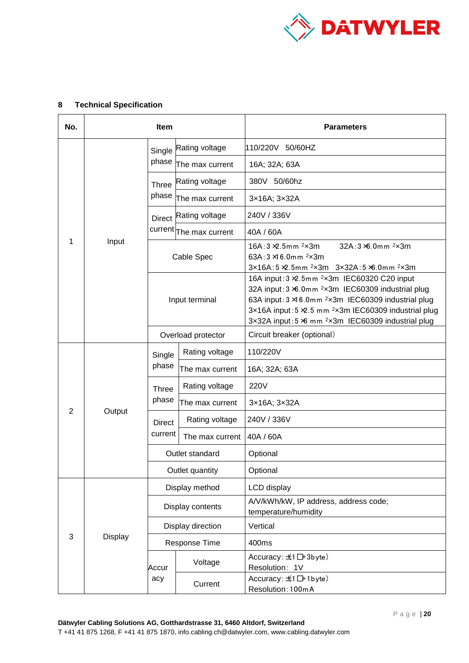

| No. | <b>Item</b>    |                       |                         | <b>Parameters</b>                                                                                                                                                                                                                                                                                                                |
|-----|----------------|-----------------------|-------------------------|----------------------------------------------------------------------------------------------------------------------------------------------------------------------------------------------------------------------------------------------------------------------------------------------------------------------------------|
|     |                | Single                | Rating voltage          | 110/220V 50/60HZ                                                                                                                                                                                                                                                                                                                 |
|     |                | phase                 | The max current         | 16A; 32A; 63A                                                                                                                                                                                                                                                                                                                    |
|     |                | <b>Three</b><br>phase | Rating voltage          | 380V 50/60hz                                                                                                                                                                                                                                                                                                                     |
|     |                |                       | The max current         | 3×16A; 3×32A                                                                                                                                                                                                                                                                                                                     |
|     |                | <b>Direct</b>         | Rating voltage          | 240V / 336V                                                                                                                                                                                                                                                                                                                      |
|     |                |                       | current The max current | 40A / 60A                                                                                                                                                                                                                                                                                                                        |
| 1   | Input          | Cable Spec            |                         | 16A: $3 \times 5$ mm $2 \times 3$ m<br>$32A:3 \times 0.0$ mm $2 \times 3$ m<br>63A: $3 \times 6.0$ mm $2 \times 3$ m<br>$3x16A:5 \times 2.5$ mm $2x3m$ $3x32A:5 \times 0.0$ mm $2x3m$                                                                                                                                            |
|     |                | Input terminal        |                         | 16A input: 3 ×2.5mm <sup>2</sup> x3m IEC60320 C20 input<br>32A input: 3 ×6.0mm <sup>2</sup> x3m IEC60309 industrial plug<br>63A input: 3 × 6.0mm <sup>2</sup> x3m IEC60309 industrial plug<br>3x16A input: 5 × 2.5 mm <sup>2</sup> x3m IEC60309 industrial plug<br>3x32A input: 5 % mm <sup>2</sup> x3m IEC60309 industrial plug |
|     |                | Overload protector    |                         | Circuit breaker (optional)                                                                                                                                                                                                                                                                                                       |
|     |                | Single                | Rating voltage          | 110/220V                                                                                                                                                                                                                                                                                                                         |
|     |                | phase                 | The max current         | 16A; 32A; 63A                                                                                                                                                                                                                                                                                                                    |
|     |                | Three<br>phase        | Rating voltage          | 220V                                                                                                                                                                                                                                                                                                                             |
| 2   | Output         |                       | The max current         | 3×16A; 3×32A                                                                                                                                                                                                                                                                                                                     |
|     |                | <b>Direct</b>         | Rating voltage          | 240V / 336V                                                                                                                                                                                                                                                                                                                      |
|     |                | current               | The max current         | 40A / 60A                                                                                                                                                                                                                                                                                                                        |
|     |                | Outlet standard       |                         | Optional                                                                                                                                                                                                                                                                                                                         |
|     |                | Outlet quantity       |                         | Optional                                                                                                                                                                                                                                                                                                                         |
| 3   |                | Display method        |                         | LCD display                                                                                                                                                                                                                                                                                                                      |
|     |                | Display contents      |                         | A/V/kWh/kW, IP address, address code;<br>temperature/humidity                                                                                                                                                                                                                                                                    |
|     |                | Display direction     |                         | Vertical                                                                                                                                                                                                                                                                                                                         |
|     | <b>Display</b> | Response Time         |                         | 400ms                                                                                                                                                                                                                                                                                                                            |
|     |                | Accur<br>acy          | Voltage                 | Accuracy: $\pm$ 1 $\Box$ +3byte)<br>Resolution: 1V                                                                                                                                                                                                                                                                               |
|     |                |                       | Current                 | Accuracy: $±1$ $□+1$ byte)<br>Resolution: 100mA                                                                                                                                                                                                                                                                                  |

# <span id="page-19-0"></span>**8 Technical Specification**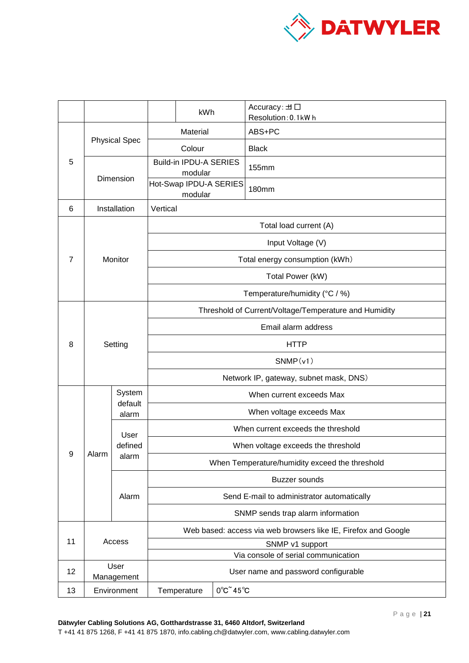

|                |              |                                   |                                                                | kWh                                                                        |                                         | Accuracy: $\pm \Box$<br>Resolution: 0.1kWh |  |
|----------------|--------------|-----------------------------------|----------------------------------------------------------------|----------------------------------------------------------------------------|-----------------------------------------|--------------------------------------------|--|
|                |              |                                   | Material                                                       |                                                                            |                                         | ABS+PC                                     |  |
| 5              |              | <b>Physical Spec</b>              |                                                                | Colour                                                                     |                                         | <b>Black</b>                               |  |
|                |              |                                   |                                                                | Build-in IPDU-A SERIES<br>modular                                          |                                         | 155mm                                      |  |
| Dimension      |              | Hot-Swap IPDU-A SERIES<br>modular |                                                                |                                                                            | <b>180mm</b>                            |                                            |  |
| 6              |              | Installation                      | Vertical                                                       |                                                                            |                                         |                                            |  |
|                |              |                                   |                                                                | Total load current (A)                                                     |                                         |                                            |  |
|                |              | Monitor                           |                                                                | Input Voltage (V)                                                          |                                         |                                            |  |
| $\overline{7}$ |              |                                   |                                                                | Total energy consumption (kWh)                                             |                                         |                                            |  |
|                |              |                                   | Total Power (kW)                                               |                                                                            |                                         |                                            |  |
|                |              |                                   | Temperature/humidity (°C / %)                                  |                                                                            |                                         |                                            |  |
|                |              |                                   | Threshold of Current/Voltage/Temperature and Humidity          |                                                                            |                                         |                                            |  |
|                |              |                                   | Email alarm address                                            |                                                                            |                                         |                                            |  |
| 8              |              | Setting                           |                                                                | <b>HTTP</b>                                                                |                                         |                                            |  |
|                |              |                                   | SNMP(v1)                                                       |                                                                            |                                         |                                            |  |
|                |              |                                   |                                                                | Network IP, gateway, subnet mask, DNS)                                     |                                         |                                            |  |
|                |              | System<br>default                 |                                                                | When current exceeds Max                                                   |                                         |                                            |  |
|                |              | alarm                             |                                                                | When voltage exceeds Max                                                   |                                         |                                            |  |
|                |              | User                              |                                                                |                                                                            |                                         | When current exceeds the threshold         |  |
|                |              | defined<br>alarm                  | When voltage exceeds the threshold                             |                                                                            |                                         |                                            |  |
| 9              | Alarm        |                                   | When Temperature/humidity exceed the threshold                 |                                                                            |                                         |                                            |  |
|                |              | Alarm                             | <b>Buzzer</b> sounds                                           |                                                                            |                                         |                                            |  |
|                |              |                                   | Send E-mail to administrator automatically                     |                                                                            |                                         |                                            |  |
|                |              |                                   | SNMP sends trap alarm information                              |                                                                            |                                         |                                            |  |
|                | 11<br>Access |                                   | Web based: access via web browsers like IE, Firefox and Google |                                                                            |                                         |                                            |  |
|                |              |                                   | SNMP v1 support                                                |                                                                            |                                         |                                            |  |
| 12             |              | User                              |                                                                | Via console of serial communication<br>User name and password configurable |                                         |                                            |  |
|                |              | Management                        |                                                                |                                                                            |                                         |                                            |  |
| 13             |              | Environment                       |                                                                | Temperature                                                                | $0^{\circ}$ C $\degree$ 45 $^{\circ}$ C |                                            |  |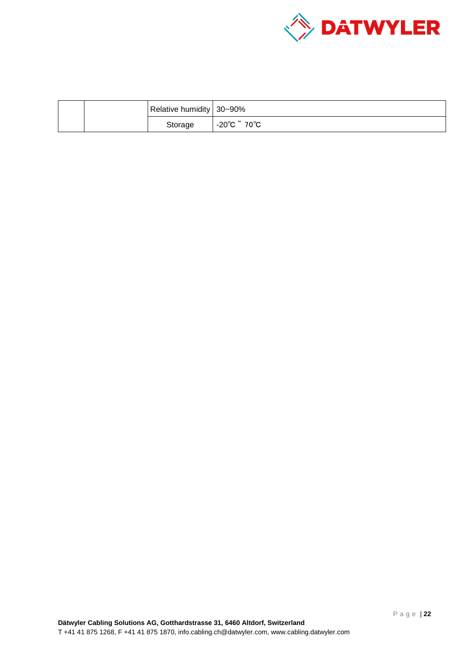

|  |  | Relative humidity 30~90% |                                             |
|--|--|--------------------------|---------------------------------------------|
|  |  | Storage                  | $-20^{\circ}$ C $\tilde{ }$ 70 $^{\circ}$ C |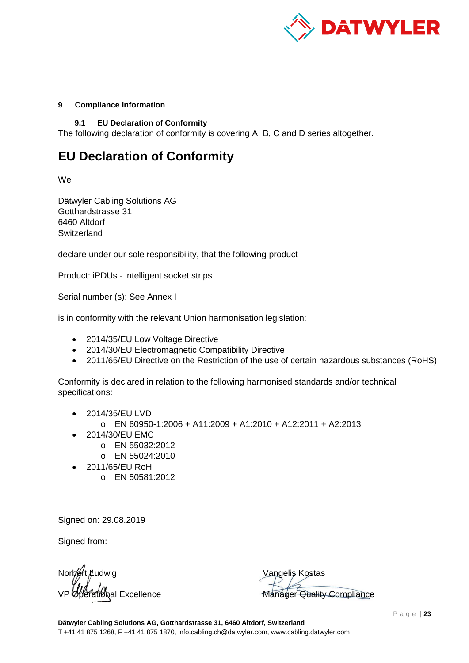

# <span id="page-22-1"></span><span id="page-22-0"></span>**9 Compliance Information**

**9.1 EU Declaration of Conformity**

The following declaration of conformity is covering A, B, C and D series altogether.

# **EU Declaration of Conformity**

We

Dätwyler Cabling Solutions AG Gotthardstrasse 31 6460 Altdorf **Switzerland** 

declare under our sole responsibility, that the following product

Product: iPDUs - intelligent socket strips

Serial number (s): See Annex I

is in conformity with the relevant Union harmonisation legislation:

- 2014/35/EU Low Voltage Directive
- 2014/30/EU Electromagnetic Compatibility Directive
- 2011/65/EU Directive on the Restriction of the use of certain hazardous substances (RoHS)

Conformity is declared in relation to the following harmonised standards and/or technical specifications:

- 2014/35/EU LVD
	- o EN 60950-1:2006 + A11:2009 + A1:2010 + A12:2011 + A2:2013
- 2014/30/EU EMC
	- o EN 55032:2012
	- o EN 55024:2010
- 2011/65/EU RoH
	- o EN 50581:2012

Signed on: 29.08.2019

Signed from:

Norbert Ludwig *ใ*สเ่ด็งal Excellence

Vangelis Kostas Manager Quality Compliance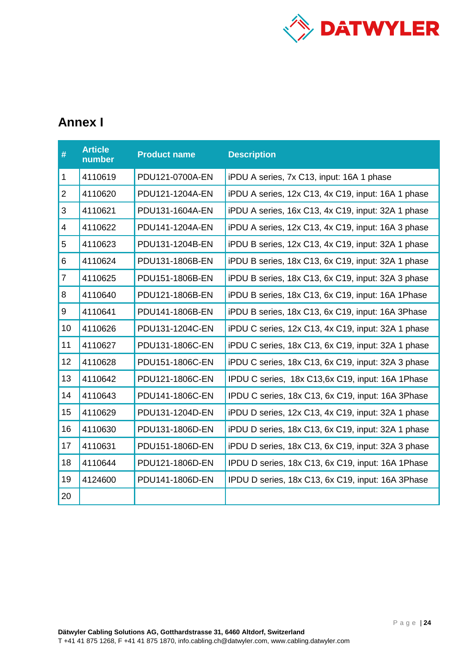

# **Annex I**

| #                | <b>Article</b><br>number | <b>Product name</b> | <b>Description</b>                                 |
|------------------|--------------------------|---------------------|----------------------------------------------------|
| 1                | 4110619                  | PDU121-0700A-EN     | iPDU A series, 7x C13, input: 16A 1 phase          |
| $\overline{2}$   | 4110620                  | PDU121-1204A-EN     | iPDU A series, 12x C13, 4x C19, input: 16A 1 phase |
| $\sqrt{3}$       | 4110621                  | PDU131-1604A-EN     | iPDU A series, 16x C13, 4x C19, input: 32A 1 phase |
| 4                | 4110622                  | PDU141-1204A-EN     | iPDU A series, 12x C13, 4x C19, input: 16A 3 phase |
| 5                | 4110623                  | PDU131-1204B-EN     | iPDU B series, 12x C13, 4x C19, input: 32A 1 phase |
| 6                | 4110624                  | PDU131-1806B-EN     | iPDU B series, 18x C13, 6x C19, input: 32A 1 phase |
| $\overline{7}$   | 4110625                  | PDU151-1806B-EN     | iPDU B series, 18x C13, 6x C19, input: 32A 3 phase |
| 8                | 4110640                  | PDU121-1806B-EN     | iPDU B series, 18x C13, 6x C19, input: 16A 1Phase  |
| $\boldsymbol{9}$ | 4110641                  | PDU141-1806B-EN     | iPDU B series, 18x C13, 6x C19, input: 16A 3Phase  |
| 10               | 4110626                  | PDU131-1204C-EN     | iPDU C series, 12x C13, 4x C19, input: 32A 1 phase |
| 11               | 4110627                  | PDU131-1806C-EN     | iPDU C series, 18x C13, 6x C19, input: 32A 1 phase |
| 12               | 4110628                  | PDU151-1806C-EN     | iPDU C series, 18x C13, 6x C19, input: 32A 3 phase |
| 13               | 4110642                  | PDU121-1806C-EN     | IPDU C series, 18x C13,6x C19, input: 16A 1Phase   |
| 14               | 4110643                  | PDU141-1806C-EN     | IPDU C series, 18x C13, 6x C19, input: 16A 3Phase  |
| 15               | 4110629                  | PDU131-1204D-EN     | iPDU D series, 12x C13, 4x C19, input: 32A 1 phase |
| 16               | 4110630                  | PDU131-1806D-EN     | iPDU D series, 18x C13, 6x C19, input: 32A 1 phase |
| 17               | 4110631                  | PDU151-1806D-EN     | iPDU D series, 18x C13, 6x C19, input: 32A 3 phase |
| 18               | 4110644                  | PDU121-1806D-EN     | IPDU D series, 18x C13, 6x C19, input: 16A 1Phase  |
| 19               | 4124600                  | PDU141-1806D-EN     | IPDU D series, 18x C13, 6x C19, input: 16A 3Phase  |
| 20               |                          |                     |                                                    |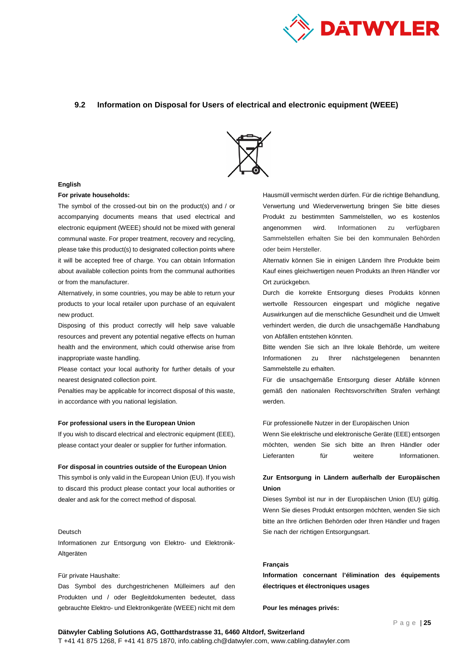

### <span id="page-24-0"></span>**9.2 Information on Disposal for Users of electrical and electronic equipment (WEEE)**



#### **English**

### **For private households:**

The symbol of the crossed-out bin on the product(s) and / or accompanying documents means that used electrical and electronic equipment (WEEE) should not be mixed with general communal waste. For proper treatment, recovery and recycling, please take this product(s) to designated collection points where it will be accepted free of charge. You can obtain Information about available collection points from the communal authorities or from the manufacturer.

Alternatively, in some countries, you may be able to return your products to your local retailer upon purchase of an equivalent new product.

Disposing of this product correctly will help save valuable resources and prevent any potential negative effects on human health and the environment, which could otherwise arise from inappropriate waste handling.

Please contact your local authority for further details of your nearest designated collection point.

Penalties may be applicable for incorrect disposal of this waste, in accordance with you national legislation.

#### **For professional users in the European Union**

If you wish to discard electrical and electronic equipment (EEE), please contact your dealer or supplier for further information.

#### **For disposal in countries outside of the European Union**

This symbol is only valid in the European Union (EU). If you wish to discard this product please contact your local authorities or dealer and ask for the correct method of disposal.

#### Deutsch

Informationen zur Entsorgung von Elektro- und Elektronik-Altgeräten

#### Für private Haushalte:

Das Symbol des durchgestrichenen Mülleimers auf den Produkten und / oder Begleitdokumenten bedeutet, dass gebrauchte Elektro- und Elektronikgeräte (WEEE) nicht mit dem

Hausmüll vermischt werden dürfen. Für die richtige Behandlung, Verwertung und Wiederverwertung bringen Sie bitte dieses Produkt zu bestimmten Sammelstellen, wo es kostenlos angenommen wird. Informationen zu verfügbaren Sammelstellen erhalten Sie bei den kommunalen Behörden oder beim Hersteller.

Alternativ können Sie in einigen Ländern Ihre Produkte beim Kauf eines gleichwertigen neuen Produkts an Ihren Händler vor Ort zurückgebεn.

Durch die korrekte Entsorgung dieses Produkts können wertvolle Ressourcen eingespart und mögliche negative Auswirkungen auf die menschliche Gesundheit und die Umwelt verhindert werden, die durch die unsachgemäße Handhabung von Abfällen entstehen könnten.

Bitte wenden Sie sich an Ihre lokale Behörde, um weitere Informationen zu Ihrer nächstgelegenen benannten Sammelstelle zu erhalten.

Für die unsachgemäße Entsorgung dieser Abfälle können gemäß den nationalen Rechtsvorschriften Strafen verhängt werden.

#### Für professionelle Nutzer in der Europäischen Union

Wenn Sie elektrische und elektronische Geräte (EEE) entsorgen möchten, wenden Sie sich bitte an Ihren Händler oder Lieferanten für weitere Informationen.

### **Zur Entsorgung in Ländern außerhalb der Europäischen Union**

Dieses Symbol ist nur in der Europäischen Union (EU) gültig. Wenn Sie dieses Produkt entsorgen möchten, wenden Sie sich bitte an Ihre örtlichen Behörden oder Ihren Händler und fragen Sie nach der richtigen Entsorgungsart.

### **Français**

**Information concernant l'élimination des équipements électriques et électroniques usages**

**Pour les ménages privés:**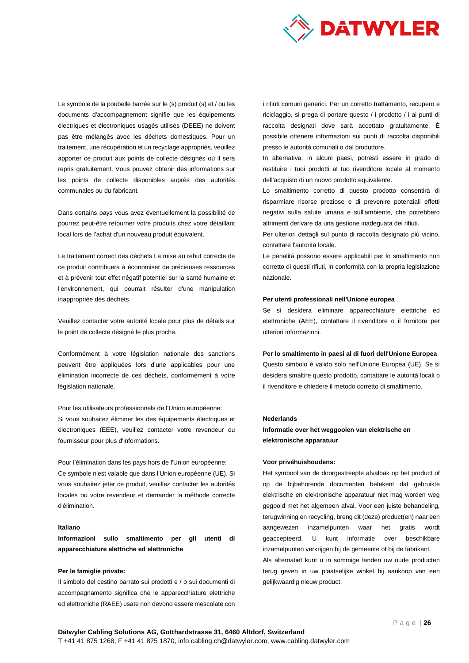

Le symbole de la poubelle barrée sur le (s) produit (s) et / ou les documents d'accompagnement signifie que les équipements électriques et électroniques usagés utilisés (DEEE) ne doivent pas être mélangés avec les déchets domestiques. Pour un traitement, une récupération et un recyclage appropriés, veuillez apporter ce produit aux points de collecte désignés où il sera repris gratuitement. Vous pouvez obtenir des informations sur les points de collecte disponibles auprès des autorités communales ou du fabricant.

Dans certains pays vous avez éventuellement la possibilité de pourrez peut-être retourner votre produits chez votre détaillant local lors de l'achat d'un nouveau produit équivalent.

Le traitement correct des déchets La mise au rebut correcte de ce produit contribuera à économiser de précieuses ressources et à prévenir tout effet négatif potentiel sur la santé humaine et l'environnement, qui pourrait résulter d'une manipulation inappropriée des déchets.

Veuillez contacter votre autorité locale pour plus de détails sur le point de collecte désigné le plus proche.

Conformément à votre législation nationale des sanctions peuvent être appliquées lors d'une applicables pour une élimination incorrecte de ces déchets, conformément à votre législation nationale.

Pour les utilisateurs professionnels de l'Union européenne: Si vous souhaitez éliminer les des équipements électriques et électroniques (EEE), veuillez contacter votre revendeur ou fournisseur pour plus d'informations.

Pour l'élimination dans les pays hors de l'Union européenne: Ce symbole n'est valable que dans l'Union européenne (UE). Si vous souhaitez jeter ce produit, veuillez contacter les autorités locales ou votre revendeur et demander la méthode correcte d'élimination.

#### **Italiano**

**Informazioni sullo smaltimento per gli utenti di apparecchiature elettriche ed elettroniche**

#### **Per le famiglie private:**

Il simbolo del cestino barrato sui prodotti e / o sui documenti di accompagnamento significa che le apparecchiature elettriche ed elettroniche (RAEE) usate non devono essere mescolate con i rifiuti comuni generici. Per un corretto trattamento, recupero e riciclaggio, si prega di portare questo / i prodotto / i ai punti di raccolta designati dove sarà accettato gratuitamente. È possibile ottenere informazioni sui punti di raccolta disponibili presso le autorità comunali o dal produttore.

In alternativa, in alcuni paesi, potresti essere in grado di restituire i tuoi prodotti al tuo rivenditore locale al momento dell'acquisto di un nuovo prodotto equivalente.

Lo smaltimento corretto di questo prodotto consentirà di risparmiare risorse preziose e di prevenire potenziali effetti negativi sulla salute umana e sull'ambiente, che potrebbero altrimenti derivare da una gestione inadeguata dei rifiuti.

Per ulteriori dettagli sul punto di raccolta designato più vicino, contattare l'autorità locale.

Le penalità possono essere applicabili per lo smaltimento non corretto di questi rifiuti, in conformità con la propria legislazione nazionale.

#### **Per utenti professionali nell'Unione europea**

Se si desidera eliminare apparecchiature elettriche ed elettroniche (AEE), contattare il rivenditore o il fornitore per ulteriori informazioni.

**Per lo smaltimento in paesi al di fuori dell'Unione Europea**

Questo simbolo è valido solo nell'Unione Europea (UE). Se si desidera smaltire questo prodotto, contattare le autorità locali o il rivenditore e chiedere il metodo corretto di smaltimento.

### **Nederlands**

**Informatie over het weggooien van elektrische en elektronische apparatuur**

#### **Voor privéhuishoudens:**

Het symbool van de doorgestreepte afvalbak op het product of op de bijbehorende documenten betekent dat gebruikte elektrische en elektronische apparatuur niet mag worden weg gegooid met het algemeen afval. Voor een juiste behandeling, terugwinning en recycling, breng dit (deze) product(en) naar een aangewezen inzamelpunten waar het gratis wordt geaccepteerd. U kunt informatie over beschikbare inzamelpunten verkrijgen bij de gemeente of bij de fabrikant. Als alternatief kunt u in sommige landen uw oude producten terug geven in uw plaatselijke winkel bij aankoop van een gelijkwaardig nieuw product.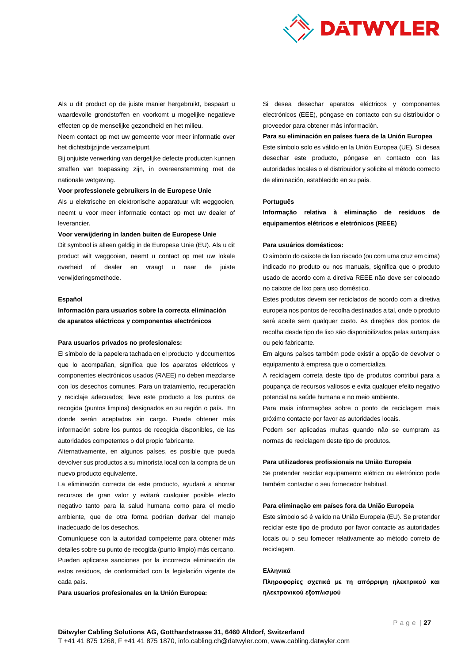

Als u dit product op de juiste manier hergebruikt, bespaart u waardevolle grondstoffen en voorkomt u mogelijke negatieve effecten op de menselijke gezondheid en het milieu.

Neem contact op met uw gemeente voor meer informatie over het dichtstbijzijnde verzamelpunt.

Bij onjuiste verwerking van dergelijke defecte producten kunnen straffen van toepassing zijn, in overeenstemming met de nationale wetgeving.

#### **Voor professionele gebruikers in de Europese Unie**

Als u elektrische en elektronische apparatuur wilt weggooien, neemt u voor meer informatie contact op met uw dealer of leverancier.

#### **Voor verwijdering in landen buiten de Europese Unie**

Dit symbool is alleen geldig in de Europese Unie (EU). Als u dit product wilt weggooien, neemt u contact op met uw lokale overheid of dealer en vraagt u naar de juiste verwijderingsmethode.

#### **Español**

**Información para usuarios sobre la correcta eliminación de aparatos eléctricos y componentes electrónicos**

#### **Para usuarios privados no profesionales:**

El símbolo de la papelera tachada en el producto y documentos que lo acompañan, significa que los aparatos eléctricos y componentes electrónicos usados (RAEE) no deben mezclarse con los desechos comunes. Para un tratamiento, recuperación y reciclaje adecuados; lleve este producto a los puntos de recogida (puntos limpios) designados en su región o país. En donde serán aceptados sin cargo. Puede obtener más información sobre los puntos de recogida disponibles, de las autoridades competentes o del propio fabricante.

Alternativamente, en algunos países, es posible que pueda devolver sus productos a su minorista local con la compra de un nuevo producto equivalente.

La eliminación correcta de este producto, ayudará a ahorrar recursos de gran valor y evitará cualquier posible efecto negativo tanto para la salud humana como para el medio ambiente, que de otra forma podrían derivar del manejo inadecuado de los desechos.

Comuníquese con la autoridad competente para obtener más detalles sobre su punto de recogida (punto limpio) más cercano. Pueden aplicarse sanciones por la incorrecta eliminación de estos residuos, de conformidad con la legislación vigente de cada país.

**Para usuarios profesionales en la Unión Europea:**

Si desea desechar aparatos eléctricos y componentes electrónicos (EEE), póngase en contacto con su distribuidor o proveedor para obtener más información.

#### **Para su eliminación en países fuera de la Unión Europea**

Este símbolo solo es válido en la Unión Europea (UE). Si desea desechar este producto, póngase en contacto con las autoridades locales o el distribuidor y solicite el método correcto de eliminación, establecido en su país.

#### **Português**

**Informação relativa à eliminação de resíduos de equipamentos elétricos e eletrónicos (REEE)**

### **Para usuários domésticos:**

O símbolo do caixote de lixo riscado (ou com uma cruz em cima) indicado no produto ou nos manuais, significa que o produto usado de acordo com a diretiva REEE não deve ser colocado no caixote de lixo para uso doméstico.

Estes produtos devem ser reciclados de acordo com a diretiva europeia nos pontos de recolha destinados a tal, onde o produto será aceite sem qualquer custo. As direções dos pontos de recolha desde tipo de lixo são disponibilizados pelas autarquias ou pelo fabricante.

Em alguns países também pode existir a opção de devolver o equipamento à empresa que o comercializa.

A reciclagem correta deste tipo de produtos contribui para a poupança de recursos valiosos e evita qualquer efeito negativo potencial na saúde humana e no meio ambiente.

Para mais informações sobre o ponto de reciclagem mais próximo contacte por favor as autoridades locais.

Podem ser aplicadas multas quando não se cumpram as normas de reciclagem deste tipo de produtos.

### **Para utilizadores profissionais na União Europeia**

Se pretender reciclar equipamento elétrico ou eletrónico pode também contactar o seu fornecedor habitual.

#### **Para eliminação em países fora da União Europeia**

Este símbolo só é valido na União Europeia (EU). Se pretender reciclar este tipo de produto por favor contacte as autoridades locais ou o seu fornecer relativamente ao método correto de reciclagem.

#### **Ελληνικά**

**Πληροφορίες σχετικά με τη απόρριψη ηλεκτρικού και ηλεκτρονικού εξοπλισμού**